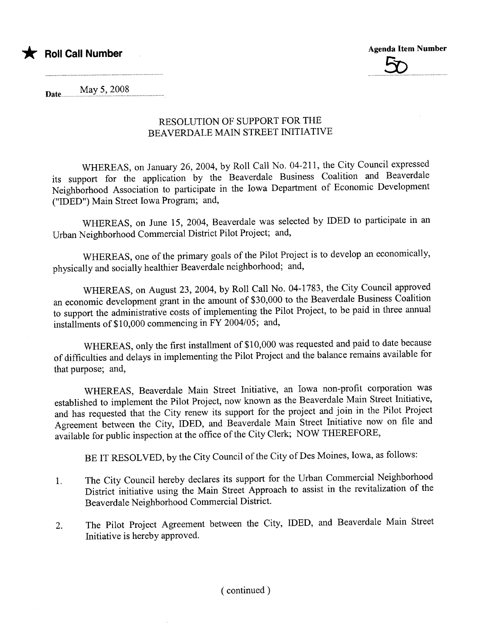

Agenda Item Number <u>5ිත</u>

Date **May 5, 2008** 

and the company of the company

#### RESOLUTION OF SUPPORT FOR THE BEAVERDALE MAIN STREET INITIATIVE

WHEREAS, on January 26, 2004, by Roll Call No. 04-211, the City Council expressed its support for the application by the Beaverdale Business Coalition and Beaverdale Neighborhood Association to participate in the Iowa Department of Economic Development ("IDED") Main Street Iowa Program; and,

WHEREAS, on June 15, 2004, Beaverdale was selected by IDED to participate in an Urban Neighborhood Commercial District Pilot Project; and,

WHEREAS, one of the primary goals of the Pilot Project is to develop an economically, physically and socially healthier Beaverdale neighborhood; and,

WHEREAS, on August 23, 2004, by Roll Call No. 04-1783, the City Council approved an economic development grant in the amount of \$30,000 to the Beaverdale Business Coalition to support the administrative costs of implementing the Pilot Project, to be paid in three anual installments of\$10,000 commencing in FY 2004/05; and,

WHEREAS, only the first installment of \$10,000 was requested and paid to date because of difficulties and delays in implementing the Pilot Project and the balance remains available for that purpose; and,

WHEREAS, Beaverdale Main Street Initiative, an Iowa non-profit corporation was established to implement the Pilot Project, now known as the Beaverdale Main Street Initiative, and has requested that the City renew its support for the project and join in the Pilot Project Agreement between the City, IDED, and Beaverdale Main Street Initiative now on file and available for public inspection at the office of the City Clerk; NOW THEREFORE,

BE IT RESOLVED, by the City Council of the City of Des Moines, Iowa, as follows:

- 1. The City Council hereby declares its support for the Urban Commercial Neighborhood District initiative using the Main Street Approach to assist in the revitalization of the Beaverdale Neighborhood Commercial District.
- 2. The Pilot Project Agreement between the City, IDED, and Beaverdale Main Street Initiative is hereby approved.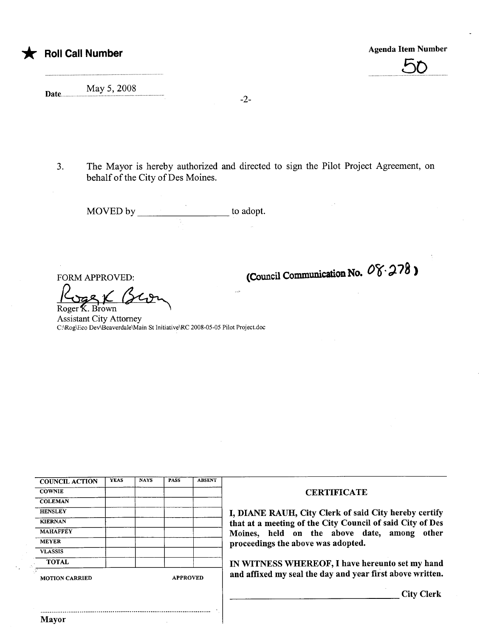# COUNCIL ACTION | YEAS | NAYS | PASS | ABSENT COWNIE COMPUTE THE COMPUTER COMPUTER COMPUTER COMPUTER COMPUTER COMPUTER COMPUTER COMPUTER COMPUTER COMPUTER COMPUTER COMPUTER COMPUTER COMPUTER COMPUTER COMPUTER COMPUTER COMPUTER COMPUTER COMPUTER COMPUTER COMPUTER COMPU **COLEMAN** VLASSIS MOTION CARRIED APPROVED **and affixed my seal the day and year first above written.**

HENSLEY **I, DIANE RAUH**, City Clerk of said City hereby certify<br>KIERNAN that at a meeting of the City Council of said City of Des KIERNAN **that at a meeting of the City Council of said City of Des**<br>Moines held on the shove date among other MAHAFFEY Moines, held on the above date, among other proceedings the above was adopted.

TOTAL **IN WITNESS WHEREOF**, I have hereunto set my hand

City Clerk

3. The Mayor is hereby authorized and directed to sign the Pilot Project Agreement, on behalf of the City of Des Moines.

-2-

MOVED by to adopt.

 $\frac{1}{\frac{1}{\text{Koger K. Brown}}}$ Assistant City Attorney C:\Rog\Eco Dev\Beaverdale\Main St Initiative\RC 2008-05-05 Pilot Project.doc

FORM APPROVED:

Date May 5, 2008

(Council Communication No.  $08.278$ )



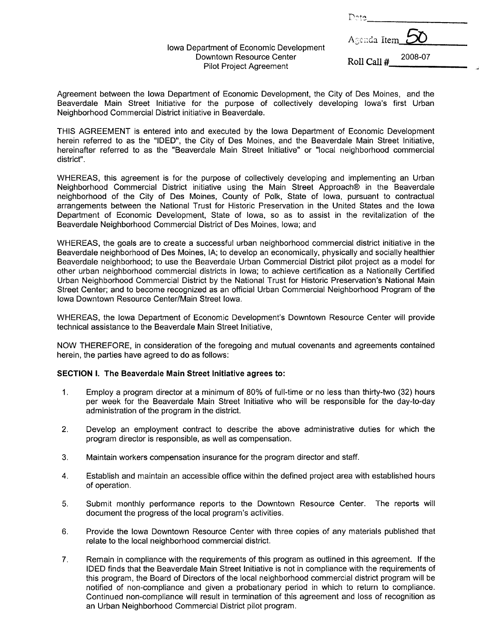| Dete           |         |
|----------------|---------|
| Agenda Item_50 |         |
| Roll Call #    | 2008-07 |

Agreement between the Iowa Department of Economic Development, the City of Des Moines, and the Beaverdale Main Street Initiative for the purpose of collectively developing Iowa's first Urban Neighborhood Commercial District initiative in Beaverdale.

Iowa Department of Economic Development Downtown Resource Center Pilot Project Agreement

THIS AGREEMENT is entered into and executed by the Iowa Department of Economic Development herein referred to as the "IDEO", the City of Des Moines, and the Beaverdale Main Street Initiative, hereinafter referred to as the "Beaverdale Main Street Initiative" or "local neighborhood commercial district".

WHEREAS, this agreement is for the purpose of collectively developing and implementing an Urban Neighborhood Commercial District initiative using the Main Street Approach® in the Beaverdale neighborhood of the City of Des Moines, County of Polk, State of Iowa, pursuant to contractual arrangements between the National Trust for Historic Preservation in the United States and the Iowa Department of Economic Development, State of Iowa, so as to assist in the revitalization of the Beaverdale Neighborhood Commercial District of Des Moines, Iowa; and

WHEREAS, the goals are to create a successful urban neighborhood commercial district initiative in the Beaverdale neighborhood of Des Moines, IA; to develop an economically, physically and socially healthier Beaverdale neighborhood; to use the Beaverdale Urban Commercial District pilot project as a model for other urban neighborhood commercial districts in Iowa; to achieve certification as a Nationally Certified Urban Neighborhood Commercial District by the National Trust for Historic Preservation's National Main Street Center; and to become recognized as an official Urban Commercial Neighborhood Program of the Iowa Downtown Resource Center/Main Street Iowa.

WHEREAS, the Iowa Department of Economic Development's Downtown Resource Center will provide technical assistance to the Beaverdale Main Street Initiative,

NOW THEREFORE, in consideration of the foregoing and mutual covenants and agreements contained herein, the parties have agreed to do as follows:

#### SECTION I. The Beaverdale Main Street Initiative agrees to:

- 1. Employ a program director at a minimum of 80% of full-time or no less than thirty-two (32) hours per week for the Beaverdale Main Street Initiative who will be responsible for the day-to-day administration of the program in the district.
- 2. Develop an employment contract to describe the above administrative duties for which the program director is responsible, as well as compensation.
- 3. Maintain workers compensation insurance for the program director and staff.
- 4. Establish and maintain an accessible office within the defined project area with established hours of operation.
- 5. Submit monthly performance reports to the Downtown Resource Center. The reports will document the progress of the local program's activities.
- 6. Provide the Iowa Downtown Resource Center with three copies of any materials published that relate to the local neighborhood commercial district.
- 7. Remain in compliance with the requirements of this program as outlined in this agreement. If the IDEO finds that the Beaverdale Main Street Initiative is not in compliance with the requirements of this program, the Board of Directors of the local neighborhood commercial district program will be notified of non-compliance and given a probationary period in which to return to compliance. Continued non-compliance will result in termination of this agreement and loss of recognition as an Urban Neighborhood Commercial District pilot program.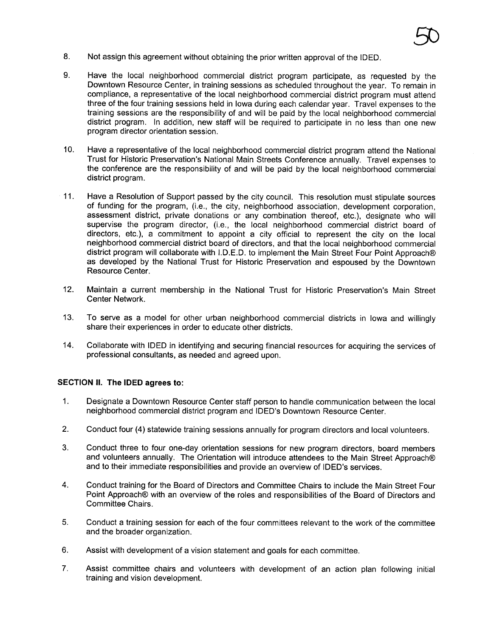9. Have the local neighborhood commercial district program participate, as requested by the Downtown Resource Center, in training sessions as scheduled throughout the year. To remain in compliance, a representative of the local neighborhood commercial district program must attend three of the four training sessions held in Iowa during each calendar year. Travel expenses to the training sessions are the responsibility of and will be paid by the local neighborhood commercial district program. In addition, new staff will be required to participate in no less than one new program director orientation session.

50

- 10. Have a representative of the local neighborhood commercial district program attend the National Trust for Historic Preservation's National Main Streets Conference annually. Travel expenses to the conference are the responsibility of and will be paid by the local neighborhood commercial district program.
- 11. Have a Resolution of Support passed by the city council. This resolution must stipulate sources of funding for the program, (Le., the city, neighborhood association, development corporation, assessment district, private donations or any combination thereof, etc.), designate who will supervise the program director, (i.e., the local neighborhood commercial district board of directors, etc.), a commitment to appoint a city official to represent the city on the local neighborhood commercial district board of directors, and that the local neighborhood commercial district program will collaborate with I.D.E.D. to implement the Main Street Four Point Approach® as developed by the National Trust for Historic Preservation and espoused by the Downtown Resource Center.
- 12. Maintain a current membership in the National Trust for Historic Preservation's Main Street Center Network.
- 13. To serve as a model for other urban neighborhood commercial districts in Iowa and willingly share their experiences in order to educate other districts.
- 14. Collaborate with IDEO in identifying and securing financial resources for acquiring the services of professional consultants, as needed and agreed upon.

#### SECTION II. The IDEO agrees to:

- 1. Designate a Downtown Resource Center staff person to handle communication between the local neighborhood commercial district program and IDEO's Downtown Resource Center.
- 2. Conduct four (4) statewide training sessions annually for program directors and local volunteers.
- 3. Conduct three to four one-day orientation sessions for new program directors, board members and volunteers annually. The Orientation will introduce attendees to the Main Street Approach® and to their immediate responsibilities and provide an overview of IDEO's services.
- 4. Conduct training for the Board of Directors and Committee Chairs to include the Main Street Four Point Approach® with an overview of the roles and responsibilities of the Board of Directors and Committee Chairs.
- 5. Conduct a training session for each of the four committees relevant to the work of the committee and the broader organization.
- 6. Assist with development of a vision statement and goals for each committee.
- 7. Assist committee chairs and volunteers with development of an action plan following initial training and vision development.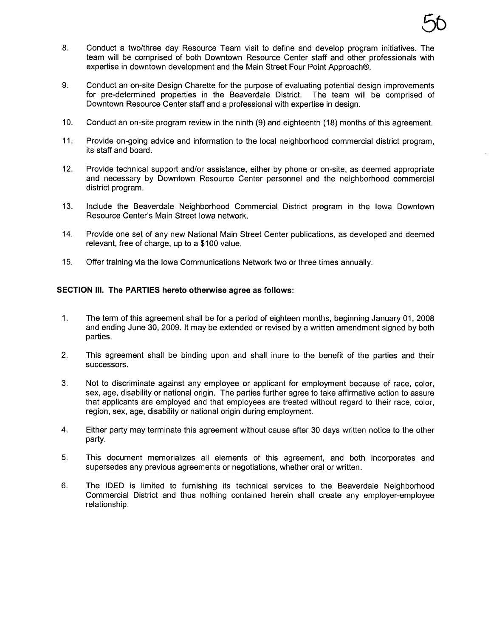- 8. Conduct a two/three day Resource Team visit to define and develop program initiatives. The team will be comprised of both Downtown Resource Center staff and other professionals with expertise in downtown development and the Main Street Four Point Approach®.
- 9. Conduct an on-site Design Charette for the purpose of evaluating potential design improvements for pre-determined properties in the Beaverdale District. The team will be comprised of Downtown Resource Center staff and a professional with expertise in design.
- 10. Conduct an on-site program review in the ninth (9) and eighteenth (18) months of this agreement.
- 11. Provide on-going advice and information to the local neighborhood commercial district program, its staff and board.
- 12. Provide technical support and/or assistance, either by phone or on-site, as deemed appropriate and necessary by Downtown Resource Center personnel and the neighborhood commercial district program.
- 13. Include the Beaverdale Neighborhood Commercial District program in the Iowa Downtown Resource Center's Main Street Iowa network.
- 14. Provide one set of any new National Main Street Center publications, as developed and deemed relevant, free of charge, up to a \$100 value.
- 15. Offer training via the Iowa Communications Network two or three times annually.

#### SECTION III. The PARTIES hereto otherwise agree as follows:

- 1. The term of this agreement shall be for a period of eighteen months, beginning January 01, 2008 and ending June 30, 2009. It may be extended or revised by a written amendment signed by both parties.
- 2. This agreement shall be binding upon and shall inure to the benefit of the parties and their successors.
- 3. Not to discriminate against any employee or applicant for employment because of race, color, sex, age, disabiliy or national origin. The parties further agree to take affirmative action to assure that applicants are employed and that employees are treated without regard to their race, color, region, sex, age, disability or national origin during employment.
- 4. Either party may terminate this agreement without cause after 30 days written notice to the other party.
- 5. This document memorializes all elements of this agreement, and both incorporates and supersedes any previous agreements or negotiations, whether oral or written.
- 6. The IDEO is limited to furnishing its technical services to the Beaverdale Neighborhood Commercial District and thus nothing contained herein shall create any employer-employee relationship.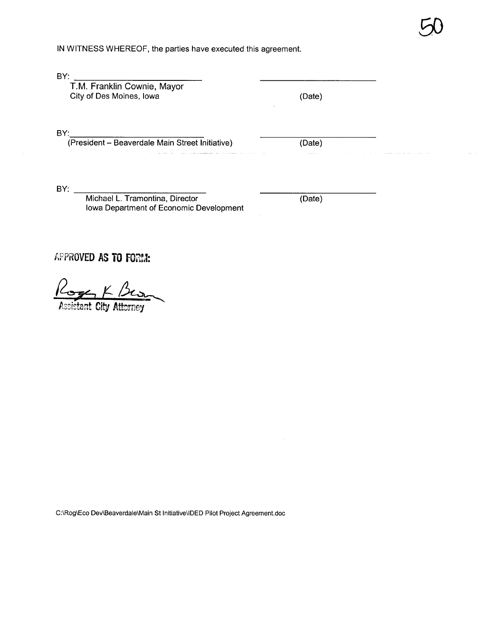IN WITNESS WHEREOF, the parties have executed this agreement.

BY:

T.M. Franklin Cownie, Mayor City of Des Moines, Iowa (Date)

fj

BY:

(President - Beaverdale Main Street Initiative) (Date)

BY:

Michael L. Tramontina, Director Iowa Department of Economic Development

(Date)

APPROVED AS TO FORM:

 $2$ oger  $K$  Bes

C:\Rog\Eco Dev\Beaverdale\Main 5t Initiative\IDED Pilot Project Agreement.doc

istant City Attorney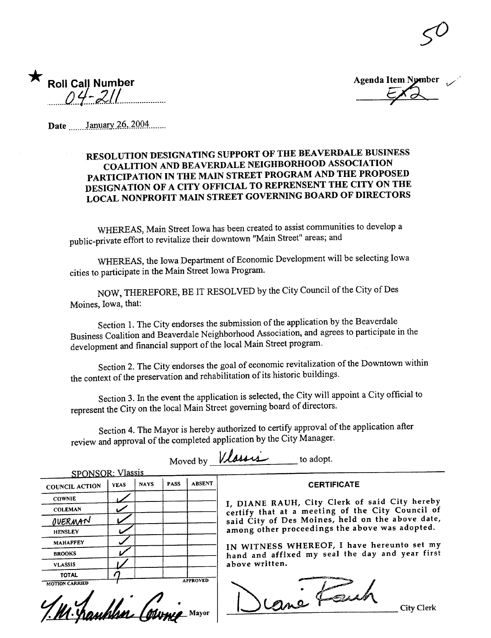| Roll Call Number<br>21/2010 |
|-----------------------------|
|                             |

Agenda Item Nymber. /'

50

Date .......January 26, 2004.......

#### RESOLUTION DESIGNATING SUPPORT OF THE BEAVERDALE BUSINESS COALITION AND BEAVERDALE NEIGHBORHOOD ASSOCIATION PARTICIPATION IN THE MAIN STREET PROGRAM AND THE PROPOSED DESIGNATION OF A CITY OFFICIAL TO REPRENSENT THE CITY ON THE LOCAL NONPROFIT MAIN STREET GOVERNING BOARD OF DIRECTORS

WHEREAS, Main Street Iowa has been created to assist communities to develop a public-private effort to revitalize their downtown "Main Street" areas; and

WHEREAS, the Iowa Department of Economic Development will be selecting Iowa cities to paricipate in the Main Street Iowa Program.

NOW, THEREFORE, BE IT RESOLVED by the City Council of the City of Des Moines, Iowa, that:

Section 1. The City endorses of Section 1. The City endorses the submission of the application by the Beaverdale Business Coalition and Beaverdale Neighborhood Association, and agrees to paricipate in the development and financial support of the local Main Street program.

Section 2. The City endorses the goal of economic revitalization of the Downtown within the context of the preservation and rehabilitation of its historic buildings.

Section 3. In the event the application is selected, the City will appoint a City official to represent the City on the local Main Street governing board of directors.

review and approval of the completed application by the City Manager. Section 4. The Mayor is hereby authorized to certify approval of the application after

Moved by  $*u*$  $\cdots$  *to adopt.* SPONSOR: Vlassis **NAYS** PASS ABSENT | CERTIFICATE YEAS **COUNCIL ACTION** COWNIE I, DIANE RAUH, City Clerk of said City hereby **COLEMAN** certify that at a meeting of the City Council of said City of Des Moines, held on the above date, OVERMAN among other proceedings the above was adopted. **HENSLEY** MAHAFFEY IN WITNESS WHEREOF, I have hereunto set my hand and affixed my seal the day and year first BROOKS  $M_{\text{MOITION CARRIED}}$  and and affixed my seal the above written. above written. VLASSIS TOTAl M. Manches Computer Mayor Dene Feech City Clerk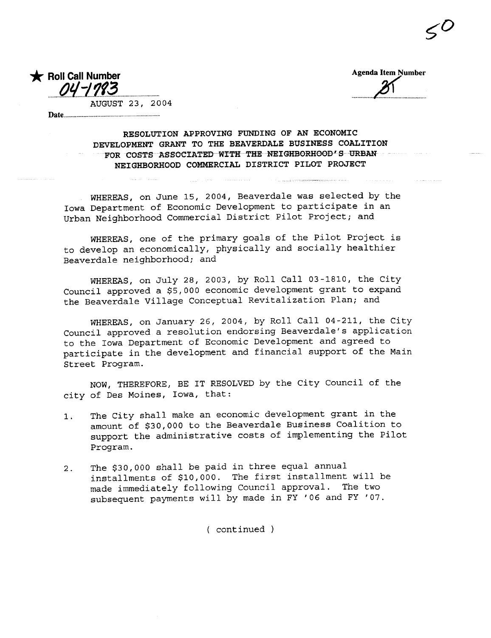**Agenda Item Number** 

Roll Call Number  $\Omega U$ AUGUST 23, 2004

Date.........

RESOLUTION APPROVING FUNDING OF AN ECONOMIC DEVELOPMENT GRANT TO THE BEAVERDALE BUSINESS COALITION FOR COSTS ASSOCIATED WITH THE NEIGHBORHOOD'S URBAN NEIGHBORHOOD COMMERCIAL DISTRICT PILOT PROJECT

WHEREAS, on June 15, 2004, Beaverdale was selected by the Iowa Department of Economic Development to participate in an Urban Neighborhood Commercial District Pilot Project; and

WHEREAS, one of the primary goals of the Pilot Project is to develop an economically, physically and socially healthier Beaverdale neighborhood; and

WHEREAS, on July 28, 2003, by Roll Call 03-1810, the City Council approved a \$5,000 economic development grant to expand the Beaverdale Village Conceptual Revitalization Plan; and

WHEREAS, on January 26, 2004, by Roll Call 04-211, the City Council approved a resolution endorsing Beaverdale's application to the Iowa Department of Economic Development and agreed to participate in the development and financial support of the Main Street Program.

NOW, THEREFORE, BE IT RESOLVED by the City Council of the city of Des Moines, Iowa, that:

- The City shall make an economic development grant in the  $1.$ amount of \$30,000 to the Beaverdale Business Coalition to support the administrative costs of implementing the Pilot Program.
- The \$30,000 shall be paid in three equal annual  $2.$ installments of \$10,000. The first installment will be made immediately following Council approval. The two subsequent payments will by made in FY '06 and FY '07.

(continued)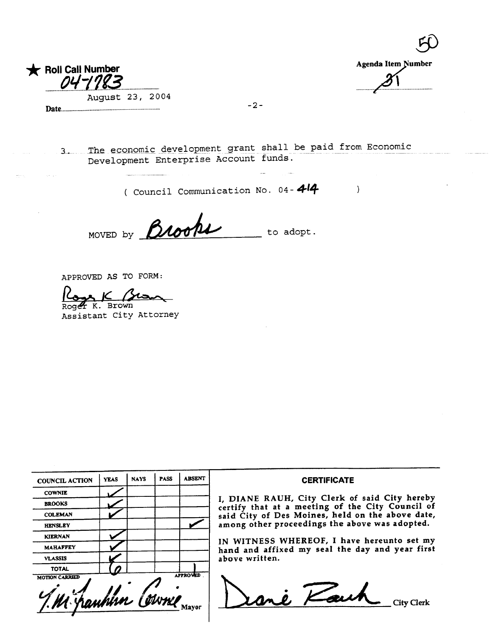

| Agenda Item Number |  |
|--------------------|--|
|                    |  |
|                    |  |

 $\left| \right\rangle$ 

**EN** 

3. The economic development grant shall be paid from Economic<br>Development Enterprise Account funds.

 $-2-$ 

( Council Communication No. 04-414

MOVED by Brook to  $\text{adopt.}$ 

APPROVED AS TO FORM:

7

 $\underbrace{\begin{array}{c} \text{Loger } K. \\ \text{Brown} \end{array}}$ 

Assistant City Attorney

| <b>COUNCIL ACTION</b>                      | <b>YEAS</b> | <b>NAYS</b> | <b>PASS</b> | <b>ABSENT</b>   | <b>CERTIFICATE</b>                                                                                |
|--------------------------------------------|-------------|-------------|-------------|-----------------|---------------------------------------------------------------------------------------------------|
| <b>COWNIE</b>                              |             |             |             |                 |                                                                                                   |
| <b>BROOKS</b>                              |             |             |             |                 | I, DIANE RAUH, City Clerk of said City hereby<br>certify that at a meeting of the City Council of |
| <b>COLEMAN</b>                             |             |             |             |                 | said City of Des Moines, held on the above date,                                                  |
| <b>HENSLEY</b>                             |             |             |             |                 | among other proceedings the above was adopted.                                                    |
| <b>KIERNAN</b>                             |             |             |             |                 | IN WITNESS WHEREOF, I have hereunto set my                                                        |
| <b>MAHAFFEY</b>                            |             |             |             |                 | hand and affixed my seal the day and year first                                                   |
| <b>VLASSIS</b>                             |             |             |             |                 | above written.                                                                                    |
| <b>TOTAL</b>                               |             |             |             |                 |                                                                                                   |
| <b>MOTION CARRIED</b><br>7. M hanhim Cowne |             |             |             | <b>APPROVED</b> | i Kaw                                                                                             |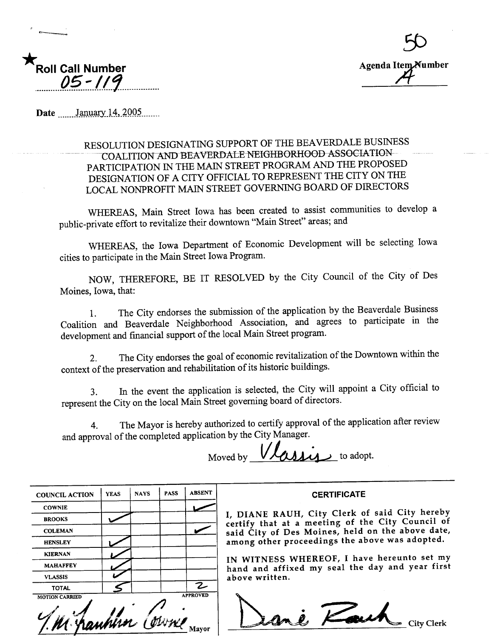



Date \_\_\_\_\_\_ January 14, 2005

### RESOLUTION DESIGNATING SUPPORT OF THE BEAVERDALE BUSINESS COALITION AND BEAVERDALE NEIGHBORHOOD ASSOCIATION PARTICIPATION IN THE MAIN STREET PROGRAM AND THE PROPOSED DESIGNATION OF A CITY OFFICIAL TO REPRESENT THE CITY ON THE LOCAL NONPROFIT MAIN STREET GOVERNING BOARD OF DIRECTORS

WHEREAS, Main Street Iowa has been created to assist communities to develop a public-private effort to revitalize their downtown "Main Street" areas; and

WHEREAS, the Iowa Department of Economic Development will be selecting Iowa cities to participate in the Main Street Iowa Program.

NOW, THEREFORE, BE IT RESOLVED by the City Council of the City of Des Moines, Iowa, that:

The City endorses the submission of the application by the Beaverdale Business  $1<sub>1</sub>$ Coalition and Beaverdale Neighborhood Association, and agrees to participate in the development and financial support of the local Main Street program.

The City endorses the goal of economic revitalization of the Downtown within the  $2<sub>1</sub>$ context of the preservation and rehabilitation of its historic buildings.

In the event the application is selected, the City will appoint a City official to  $3.$ represent the City on the local Main Street governing board of directors.

The Mayor is hereby authorized to certify approval of the application after review  $\overline{4}$ . and approval of the completed application by the City Manager.

 $ALA$ Moved by

| <b>COUNCIL ACTION</b> | <b>YEAS</b> | <b>NAYS</b> | <b>PASS</b> | <b>ABSENT</b>   |
|-----------------------|-------------|-------------|-------------|-----------------|
| <b>COWNIE</b>         |             |             |             |                 |
| <b>BROOKS</b>         |             |             |             |                 |
| <b>COLEMAN</b>        |             |             |             |                 |
| <b>HENSLEY</b>        |             |             |             |                 |
| <b>KIERNAN</b>        |             |             |             |                 |
| <b>MAHAFFEY</b>       |             |             |             |                 |
| <b>VLASSIS</b>        |             |             |             |                 |
| <b>TOTAL</b>          |             |             |             | Z               |
| <b>MOTION CARRIED</b> | uhim        |             |             | <b>APPROVED</b> |

**CERTIFICATE** 

I, DIANE RAUH, City Clerk of said City hereby certify that at a meeting of the City Council of said City of Des Moines, held on the above date, among other proceedings the above was adopted.

IN WITNESS WHEREOF, I have hereunto set my hand and affixed my seal the day and year first above written.